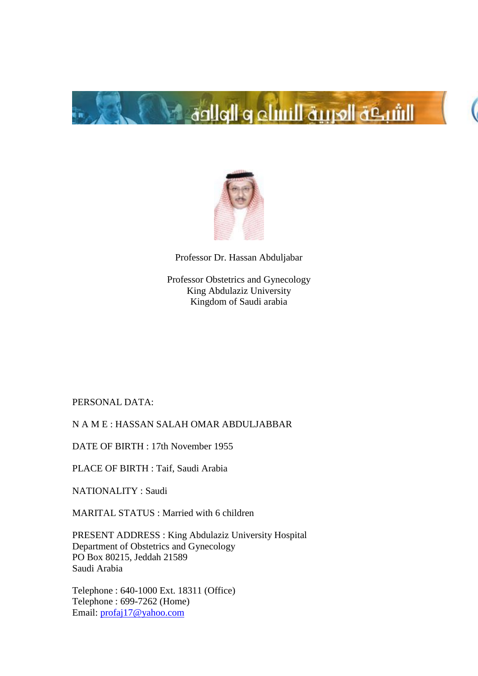



Professor Dr. Hassan Abduljabar

Professor Obstetrics and Gynecology King Abdulaziz University Kingdom of Saudi arabia

PERSONAL DATA:

N A M E : HASSAN SALAH OMAR ABDULJABBAR

DATE OF BIRTH : 17th November 1955

PLACE OF BIRTH : Taif, Saudi Arabia

NATIONALITY : Saudi

MARITAL STATUS : Married with 6 children

PRESENT ADDRESS : King Abdulaziz University Hospital Department of Obstetrics and Gynecology PO Box 80215, Jeddah 21589 Saudi Arabia

Telephone : 640-1000 Ext. 18311 (Office) Telephone : 699-7262 (Home) Email: [profaj17@yahoo.com](mailto:profaj17@yahoo.com)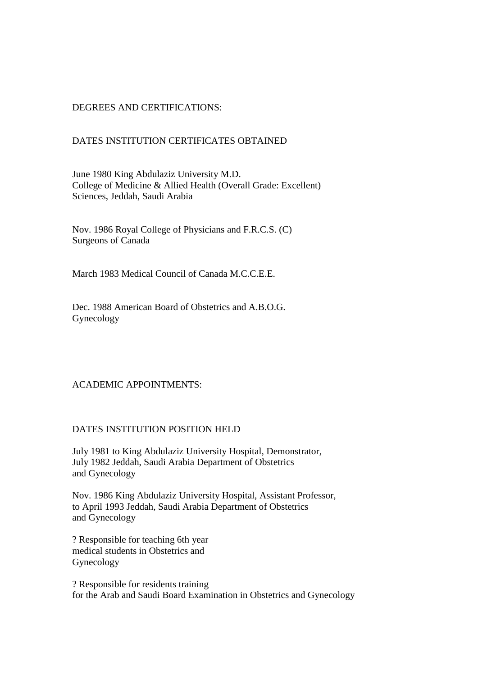# DEGREES AND CERTIFICATIONS:

## DATES INSTITUTION CERTIFICATES OBTAINED

June 1980 King Abdulaziz University M.D. College of Medicine & Allied Health (Overall Grade: Excellent) Sciences, Jeddah, Saudi Arabia

Nov. 1986 Royal College of Physicians and F.R.C.S. (C) Surgeons of Canada

March 1983 Medical Council of Canada M.C.C.E.E.

Dec. 1988 American Board of Obstetrics and A.B.O.G. Gynecology

### ACADEMIC APPOINTMENTS:

### DATES INSTITUTION POSITION HELD

July 1981 to King Abdulaziz University Hospital, Demonstrator, July 1982 Jeddah, Saudi Arabia Department of Obstetrics and Gynecology

Nov. 1986 King Abdulaziz University Hospital, Assistant Professor, to April 1993 Jeddah, Saudi Arabia Department of Obstetrics and Gynecology

? Responsible for teaching 6th year medical students in Obstetrics and Gynecology

? Responsible for residents training for the Arab and Saudi Board Examination in Obstetrics and Gynecology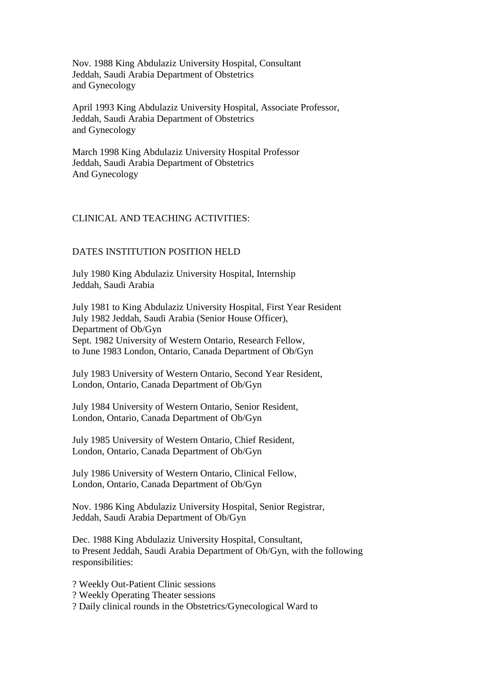Nov. 1988 King Abdulaziz University Hospital, Consultant Jeddah, Saudi Arabia Department of Obstetrics and Gynecology

April 1993 King Abdulaziz University Hospital, Associate Professor, Jeddah, Saudi Arabia Department of Obstetrics and Gynecology

March 1998 King Abdulaziz University Hospital Professor Jeddah, Saudi Arabia Department of Obstetrics And Gynecology

### CLINICAL AND TEACHING ACTIVITIES:

### DATES INSTITUTION POSITION HELD

July 1980 King Abdulaziz University Hospital, Internship Jeddah, Saudi Arabia

July 1981 to King Abdulaziz University Hospital, First Year Resident July 1982 Jeddah, Saudi Arabia (Senior House Officer), Department of Ob/Gyn Sept. 1982 University of Western Ontario, Research Fellow, to June 1983 London, Ontario, Canada Department of Ob/Gyn

July 1983 University of Western Ontario, Second Year Resident, London, Ontario, Canada Department of Ob/Gyn

July 1984 University of Western Ontario, Senior Resident, London, Ontario, Canada Department of Ob/Gyn

July 1985 University of Western Ontario, Chief Resident, London, Ontario, Canada Department of Ob/Gyn

July 1986 University of Western Ontario, Clinical Fellow, London, Ontario, Canada Department of Ob/Gyn

Nov. 1986 King Abdulaziz University Hospital, Senior Registrar, Jeddah, Saudi Arabia Department of Ob/Gyn

Dec. 1988 King Abdulaziz University Hospital, Consultant, to Present Jeddah, Saudi Arabia Department of Ob/Gyn, with the following responsibilities:

? Weekly Out-Patient Clinic sessions

? Weekly Operating Theater sessions

? Daily clinical rounds in the Obstetrics/Gynecological Ward to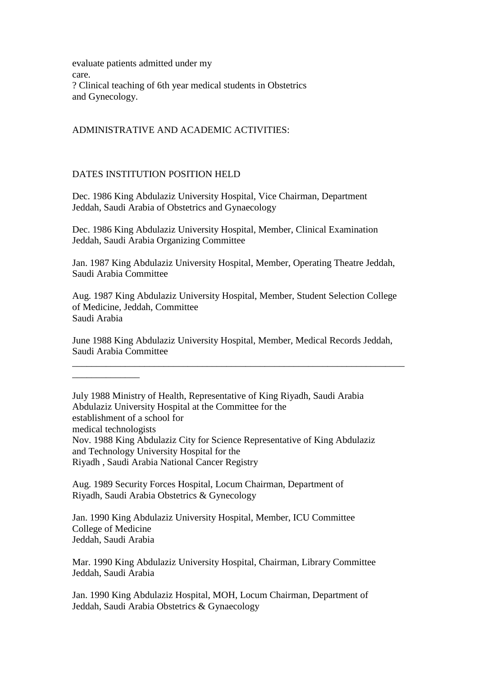evaluate patients admitted under my care. ? Clinical teaching of 6th year medical students in Obstetrics and Gynecology.

## ADMINISTRATIVE AND ACADEMIC ACTIVITIES:

## DATES INSTITUTION POSITION HELD

\_\_\_\_\_\_\_\_\_\_\_\_\_\_

Dec. 1986 King Abdulaziz University Hospital, Vice Chairman, Department Jeddah, Saudi Arabia of Obstetrics and Gynaecology

Dec. 1986 King Abdulaziz University Hospital, Member, Clinical Examination Jeddah, Saudi Arabia Organizing Committee

Jan. 1987 King Abdulaziz University Hospital, Member, Operating Theatre Jeddah, Saudi Arabia Committee

Aug. 1987 King Abdulaziz University Hospital, Member, Student Selection College of Medicine, Jeddah, Committee Saudi Arabia

June 1988 King Abdulaziz University Hospital, Member, Medical Records Jeddah, Saudi Arabia Committee

\_\_\_\_\_\_\_\_\_\_\_\_\_\_\_\_\_\_\_\_\_\_\_\_\_\_\_\_\_\_\_\_\_\_\_\_\_\_\_\_\_\_\_\_\_\_\_\_\_\_\_\_\_\_\_\_\_\_\_\_\_\_\_\_\_\_\_\_\_

July 1988 Ministry of Health, Representative of King Riyadh, Saudi Arabia Abdulaziz University Hospital at the Committee for the establishment of a school for medical technologists Nov. 1988 King Abdulaziz City for Science Representative of King Abdulaziz and Technology University Hospital for the Riyadh , Saudi Arabia National Cancer Registry

Aug. 1989 Security Forces Hospital, Locum Chairman, Department of Riyadh, Saudi Arabia Obstetrics & Gynecology

Jan. 1990 King Abdulaziz University Hospital, Member, ICU Committee College of Medicine Jeddah, Saudi Arabia

Mar. 1990 King Abdulaziz University Hospital, Chairman, Library Committee Jeddah, Saudi Arabia

Jan. 1990 King Abdulaziz Hospital, MOH, Locum Chairman, Department of Jeddah, Saudi Arabia Obstetrics & Gynaecology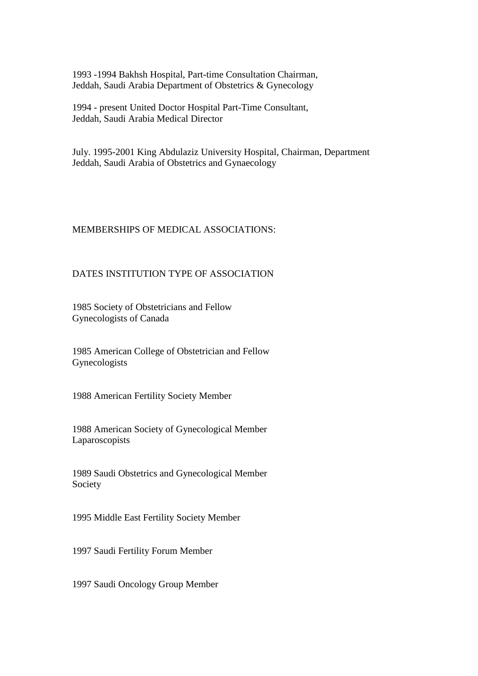1993 -1994 Bakhsh Hospital, Part-time Consultation Chairman, Jeddah, Saudi Arabia Department of Obstetrics & Gynecology

1994 - present United Doctor Hospital Part-Time Consultant, Jeddah, Saudi Arabia Medical Director

July. 1995-2001 King Abdulaziz University Hospital, Chairman, Department Jeddah, Saudi Arabia of Obstetrics and Gynaecology

## MEMBERSHIPS OF MEDICAL ASSOCIATIONS:

## DATES INSTITUTION TYPE OF ASSOCIATION

1985 Society of Obstetricians and Fellow Gynecologists of Canada

1985 American College of Obstetrician and Fellow Gynecologists

1988 American Fertility Society Member

1988 American Society of Gynecological Member Laparoscopists

1989 Saudi Obstetrics and Gynecological Member Society

1995 Middle East Fertility Society Member

1997 Saudi Fertility Forum Member

1997 Saudi Oncology Group Member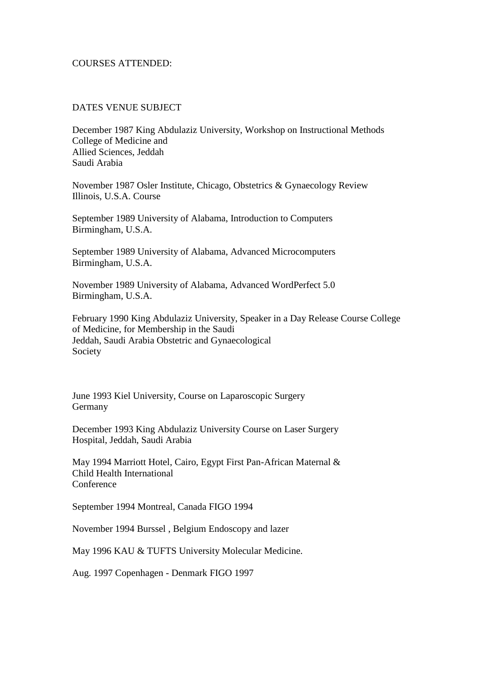#### COURSES ATTENDED:

### DATES VENUE SUBJECT

December 1987 King Abdulaziz University, Workshop on Instructional Methods College of Medicine and Allied Sciences, Jeddah Saudi Arabia

November 1987 Osler Institute, Chicago, Obstetrics & Gynaecology Review Illinois, U.S.A. Course

September 1989 University of Alabama, Introduction to Computers Birmingham, U.S.A.

September 1989 University of Alabama, Advanced Microcomputers Birmingham, U.S.A.

November 1989 University of Alabama, Advanced WordPerfect 5.0 Birmingham, U.S.A.

February 1990 King Abdulaziz University, Speaker in a Day Release Course College of Medicine, for Membership in the Saudi Jeddah, Saudi Arabia Obstetric and Gynaecological Society

June 1993 Kiel University, Course on Laparoscopic Surgery Germany

December 1993 King Abdulaziz University Course on Laser Surgery Hospital, Jeddah, Saudi Arabia

May 1994 Marriott Hotel, Cairo, Egypt First Pan-African Maternal & Child Health International Conference

September 1994 Montreal, Canada FIGO 1994

November 1994 Burssel , Belgium Endoscopy and lazer

May 1996 KAU & TUFTS University Molecular Medicine.

Aug. 1997 Copenhagen - Denmark FIGO 1997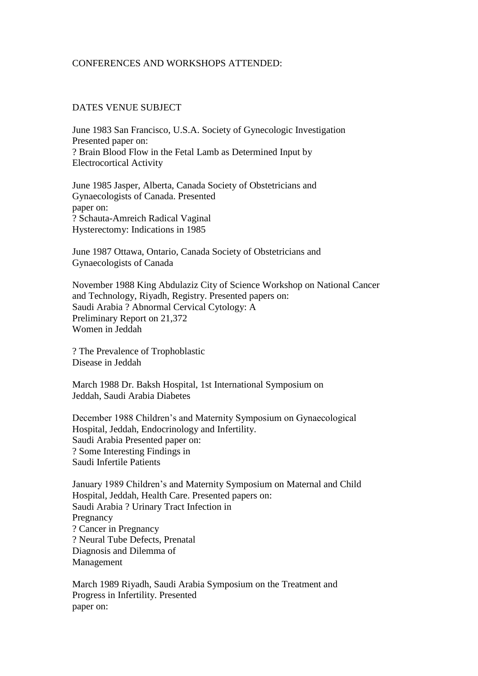#### CONFERENCES AND WORKSHOPS ATTENDED:

### DATES VENUE SUBJECT

June 1983 San Francisco, U.S.A. Society of Gynecologic Investigation Presented paper on: ? Brain Blood Flow in the Fetal Lamb as Determined Input by Electrocortical Activity

June 1985 Jasper, Alberta, Canada Society of Obstetricians and Gynaecologists of Canada. Presented paper on: ? Schauta-Amreich Radical Vaginal Hysterectomy: Indications in 1985

June 1987 Ottawa, Ontario, Canada Society of Obstetricians and Gynaecologists of Canada

November 1988 King Abdulaziz City of Science Workshop on National Cancer and Technology, Riyadh, Registry. Presented papers on: Saudi Arabia ? Abnormal Cervical Cytology: A Preliminary Report on 21,372 Women in Jeddah

? The Prevalence of Trophoblastic Disease in Jeddah

March 1988 Dr. Baksh Hospital, 1st International Symposium on Jeddah, Saudi Arabia Diabetes

December 1988 Children's and Maternity Symposium on Gynaecological Hospital, Jeddah, Endocrinology and Infertility. Saudi Arabia Presented paper on: ? Some Interesting Findings in Saudi Infertile Patients

January 1989 Children's and Maternity Symposium on Maternal and Child Hospital, Jeddah, Health Care. Presented papers on: Saudi Arabia ? Urinary Tract Infection in Pregnancy ? Cancer in Pregnancy ? Neural Tube Defects, Prenatal Diagnosis and Dilemma of Management

March 1989 Riyadh, Saudi Arabia Symposium on the Treatment and Progress in Infertility. Presented paper on: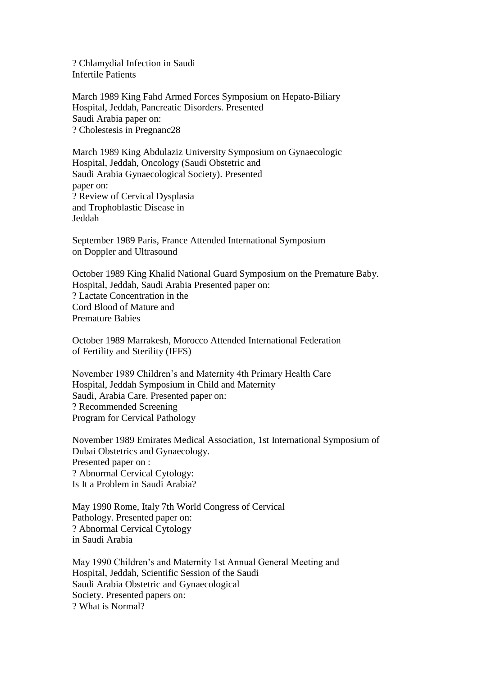? Chlamydial Infection in Saudi Infertile Patients

March 1989 King Fahd Armed Forces Symposium on Hepato-Biliary Hospital, Jeddah, Pancreatic Disorders. Presented Saudi Arabia paper on: ? Cholestesis in Pregnanc28

March 1989 King Abdulaziz University Symposium on Gynaecologic Hospital, Jeddah, Oncology (Saudi Obstetric and Saudi Arabia Gynaecological Society). Presented paper on: ? Review of Cervical Dysplasia and Trophoblastic Disease in Jeddah

September 1989 Paris, France Attended International Symposium on Doppler and Ultrasound

October 1989 King Khalid National Guard Symposium on the Premature Baby. Hospital, Jeddah, Saudi Arabia Presented paper on: ? Lactate Concentration in the Cord Blood of Mature and Premature Babies

October 1989 Marrakesh, Morocco Attended International Federation of Fertility and Sterility (IFFS)

November 1989 Children's and Maternity 4th Primary Health Care Hospital, Jeddah Symposium in Child and Maternity Saudi, Arabia Care. Presented paper on: ? Recommended Screening Program for Cervical Pathology

November 1989 Emirates Medical Association, 1st International Symposium of Dubai Obstetrics and Gynaecology. Presented paper on : ? Abnormal Cervical Cytology: Is It a Problem in Saudi Arabia?

May 1990 Rome, Italy 7th World Congress of Cervical Pathology. Presented paper on: ? Abnormal Cervical Cytology in Saudi Arabia

May 1990 Children's and Maternity 1st Annual General Meeting and Hospital, Jeddah, Scientific Session of the Saudi Saudi Arabia Obstetric and Gynaecological Society. Presented papers on: ? What is Normal?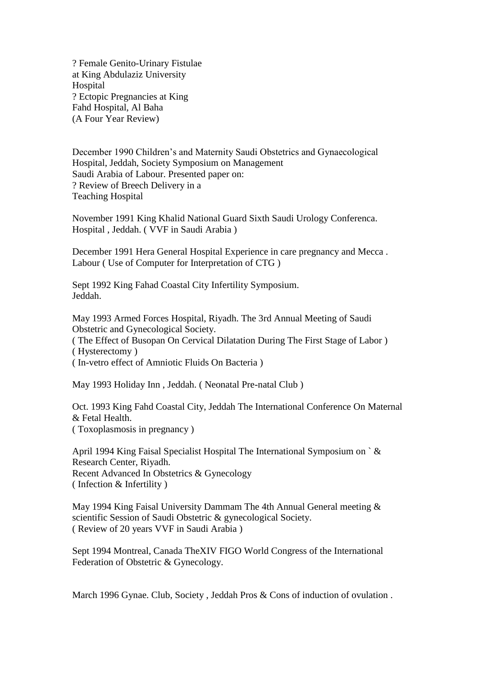? Female Genito-Urinary Fistulae at King Abdulaziz University Hospital ? Ectopic Pregnancies at King Fahd Hospital, Al Baha (A Four Year Review)

December 1990 Children's and Maternity Saudi Obstetrics and Gynaecological Hospital, Jeddah, Society Symposium on Management Saudi Arabia of Labour. Presented paper on: ? Review of Breech Delivery in a Teaching Hospital

November 1991 King Khalid National Guard Sixth Saudi Urology Conferenca. Hospital , Jeddah. ( VVF in Saudi Arabia )

December 1991 Hera General Hospital Experience in care pregnancy and Mecca . Labour ( Use of Computer for Interpretation of CTG )

Sept 1992 King Fahad Coastal City Infertility Symposium. Jeddah.

May 1993 Armed Forces Hospital, Riyadh. The 3rd Annual Meeting of Saudi Obstetric and Gynecological Society. ( The Effect of Busopan On Cervical Dilatation During The First Stage of Labor ) ( Hysterectomy ) ( In-vetro effect of Amniotic Fluids On Bacteria )

May 1993 Holiday Inn , Jeddah. ( Neonatal Pre-natal Club )

Oct. 1993 King Fahd Coastal City, Jeddah The International Conference On Maternal & Fetal Health. ( Toxoplasmosis in pregnancy )

April 1994 King Faisal Specialist Hospital The International Symposium on ` & Research Center, Riyadh. Recent Advanced In Obstetrics & Gynecology ( Infection & Infertility )

May 1994 King Faisal University Dammam The 4th Annual General meeting & scientific Session of Saudi Obstetric & gynecological Society. ( Review of 20 years VVF in Saudi Arabia )

Sept 1994 Montreal, Canada TheXIV FIGO World Congress of the International Federation of Obstetric & Gynecology.

March 1996 Gynae. Club, Society, Jeddah Pros & Cons of induction of ovulation.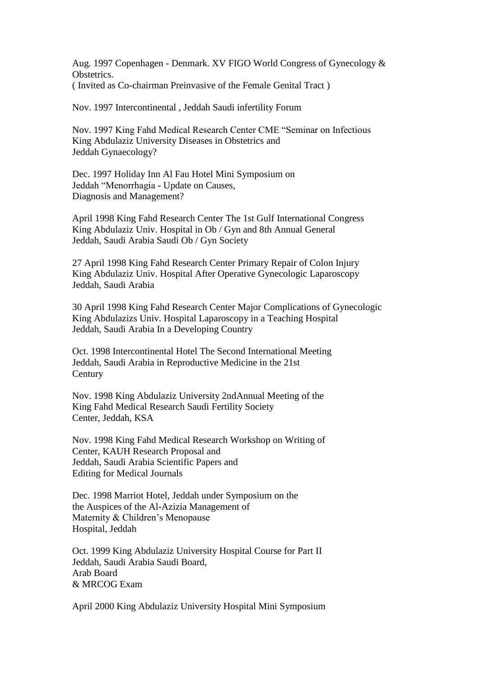Aug. 1997 Copenhagen - Denmark. XV FIGO World Congress of Gynecology & Obstetrics. ( Invited as Co-chairman Preinvasive of the Female Genital Tract )

Nov. 1997 Intercontinental , Jeddah Saudi infertility Forum

Nov. 1997 King Fahd Medical Research Center CME "Seminar on Infectious King Abdulaziz University Diseases in Obstetrics and Jeddah Gynaecology?

Dec. 1997 Holiday Inn Al Fau Hotel Mini Symposium on Jeddah "Menorrhagia - Update on Causes, Diagnosis and Management?

April 1998 King Fahd Research Center The 1st Gulf International Congress King Abdulaziz Univ. Hospital in Ob / Gyn and 8th Annual General Jeddah, Saudi Arabia Saudi Ob / Gyn Society

27 April 1998 King Fahd Research Center Primary Repair of Colon Injury King Abdulaziz Univ. Hospital After Operative Gynecologic Laparoscopy Jeddah, Saudi Arabia

30 April 1998 King Fahd Research Center Major Complications of Gynecologic King Abdulazizs Univ. Hospital Laparoscopy in a Teaching Hospital Jeddah, Saudi Arabia In a Developing Country

Oct. 1998 Intercontinental Hotel The Second International Meeting Jeddah, Saudi Arabia in Reproductive Medicine in the 21st **Century** 

Nov. 1998 King Abdulaziz University 2ndAnnual Meeting of the King Fahd Medical Research Saudi Fertility Society Center, Jeddah, KSA

Nov. 1998 King Fahd Medical Research Workshop on Writing of Center, KAUH Research Proposal and Jeddah, Saudi Arabia Scientific Papers and Editing for Medical Journals

Dec. 1998 Marriot Hotel, Jeddah under Symposium on the the Auspices of the Al-Azizia Management of Maternity & Children's Menopause Hospital, Jeddah

Oct. 1999 King Abdulaziz University Hospital Course for Part II Jeddah, Saudi Arabia Saudi Board, Arab Board & MRCOG Exam

April 2000 King Abdulaziz University Hospital Mini Symposium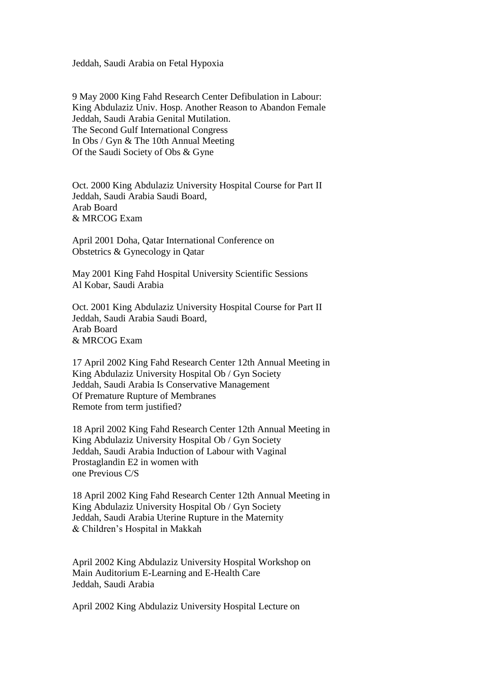Jeddah, Saudi Arabia on Fetal Hypoxia

9 May 2000 King Fahd Research Center Defibulation in Labour: King Abdulaziz Univ. Hosp. Another Reason to Abandon Female Jeddah, Saudi Arabia Genital Mutilation. The Second Gulf International Congress In Obs / Gyn & The 10th Annual Meeting Of the Saudi Society of Obs & Gyne

Oct. 2000 King Abdulaziz University Hospital Course for Part II Jeddah, Saudi Arabia Saudi Board, Arab Board & MRCOG Exam

April 2001 Doha, Qatar International Conference on Obstetrics & Gynecology in Qatar

May 2001 King Fahd Hospital University Scientific Sessions Al Kobar, Saudi Arabia

Oct. 2001 King Abdulaziz University Hospital Course for Part II Jeddah, Saudi Arabia Saudi Board, Arab Board & MRCOG Exam

17 April 2002 King Fahd Research Center 12th Annual Meeting in King Abdulaziz University Hospital Ob / Gyn Society Jeddah, Saudi Arabia Is Conservative Management Of Premature Rupture of Membranes Remote from term justified?

18 April 2002 King Fahd Research Center 12th Annual Meeting in King Abdulaziz University Hospital Ob / Gyn Society Jeddah, Saudi Arabia Induction of Labour with Vaginal Prostaglandin E2 in women with one Previous C/S

18 April 2002 King Fahd Research Center 12th Annual Meeting in King Abdulaziz University Hospital Ob / Gyn Society Jeddah, Saudi Arabia Uterine Rupture in the Maternity & Children's Hospital in Makkah

April 2002 King Abdulaziz University Hospital Workshop on Main Auditorium E-Learning and E-Health Care Jeddah, Saudi Arabia

April 2002 King Abdulaziz University Hospital Lecture on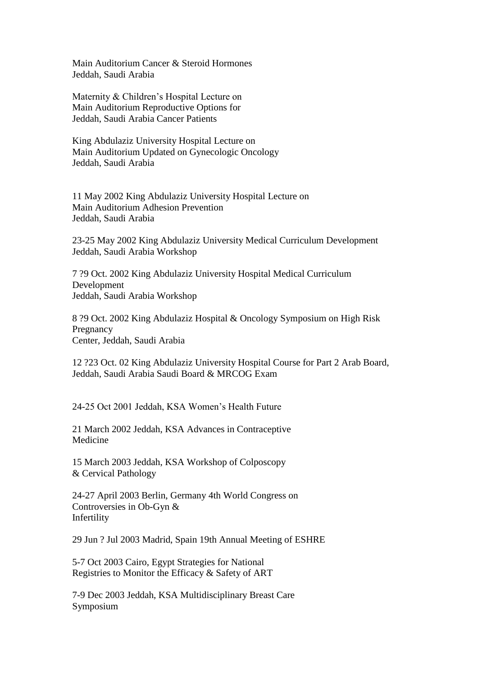Main Auditorium Cancer & Steroid Hormones Jeddah, Saudi Arabia

Maternity & Children's Hospital Lecture on Main Auditorium Reproductive Options for Jeddah, Saudi Arabia Cancer Patients

King Abdulaziz University Hospital Lecture on Main Auditorium Updated on Gynecologic Oncology Jeddah, Saudi Arabia

11 May 2002 King Abdulaziz University Hospital Lecture on Main Auditorium Adhesion Prevention Jeddah, Saudi Arabia

23-25 May 2002 King Abdulaziz University Medical Curriculum Development Jeddah, Saudi Arabia Workshop

7 ?9 Oct. 2002 King Abdulaziz University Hospital Medical Curriculum Development Jeddah, Saudi Arabia Workshop

8 ?9 Oct. 2002 King Abdulaziz Hospital & Oncology Symposium on High Risk Pregnancy Center, Jeddah, Saudi Arabia

12 ?23 Oct. 02 King Abdulaziz University Hospital Course for Part 2 Arab Board, Jeddah, Saudi Arabia Saudi Board & MRCOG Exam

24-25 Oct 2001 Jeddah, KSA Women's Health Future

21 March 2002 Jeddah, KSA Advances in Contraceptive Medicine

15 March 2003 Jeddah, KSA Workshop of Colposcopy & Cervical Pathology

24-27 April 2003 Berlin, Germany 4th World Congress on Controversies in Ob-Gyn & Infertility

29 Jun ? Jul 2003 Madrid, Spain 19th Annual Meeting of ESHRE

5-7 Oct 2003 Cairo, Egypt Strategies for National Registries to Monitor the Efficacy & Safety of ART

7-9 Dec 2003 Jeddah, KSA Multidisciplinary Breast Care Symposium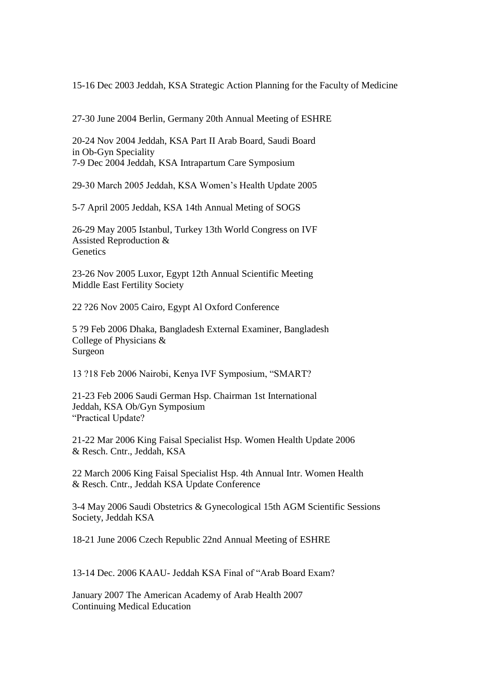15-16 Dec 2003 Jeddah, KSA Strategic Action Planning for the Faculty of Medicine

27-30 June 2004 Berlin, Germany 20th Annual Meeting of ESHRE

20-24 Nov 2004 Jeddah, KSA Part II Arab Board, Saudi Board in Ob-Gyn Speciality 7-9 Dec 2004 Jeddah, KSA Intrapartum Care Symposium

29-30 March 2005 Jeddah, KSA Women's Health Update 2005

5-7 April 2005 Jeddah, KSA 14th Annual Meting of SOGS

26-29 May 2005 Istanbul, Turkey 13th World Congress on IVF Assisted Reproduction & **Genetics** 

23-26 Nov 2005 Luxor, Egypt 12th Annual Scientific Meeting Middle East Fertility Society

22 ?26 Nov 2005 Cairo, Egypt Al Oxford Conference

5 ?9 Feb 2006 Dhaka, Bangladesh External Examiner, Bangladesh College of Physicians & Surgeon

13 ?18 Feb 2006 Nairobi, Kenya IVF Symposium, "SMART?

21-23 Feb 2006 Saudi German Hsp. Chairman 1st International Jeddah, KSA Ob/Gyn Symposium "Practical Update?

21-22 Mar 2006 King Faisal Specialist Hsp. Women Health Update 2006 & Resch. Cntr., Jeddah, KSA

22 March 2006 King Faisal Specialist Hsp. 4th Annual Intr. Women Health & Resch. Cntr., Jeddah KSA Update Conference

3-4 May 2006 Saudi Obstetrics & Gynecological 15th AGM Scientific Sessions Society, Jeddah KSA

18-21 June 2006 Czech Republic 22nd Annual Meeting of ESHRE

13-14 Dec. 2006 KAAU- Jeddah KSA Final of "Arab Board Exam?

January 2007 The American Academy of Arab Health 2007 Continuing Medical Education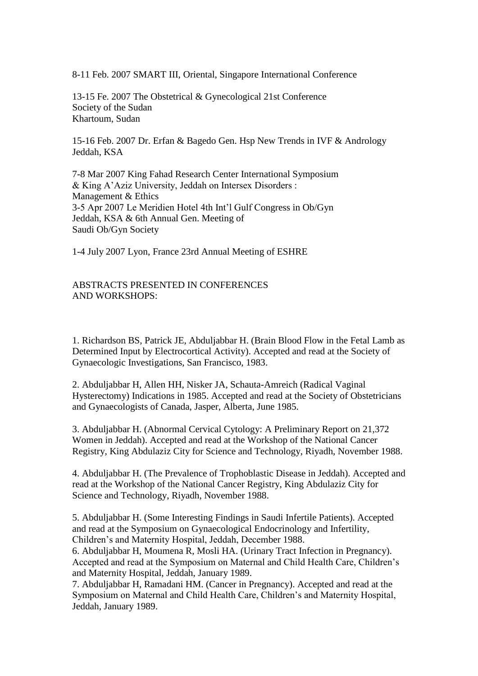8-11 Feb. 2007 SMART III, Oriental, Singapore International Conference

13-15 Fe. 2007 The Obstetrical & Gynecological 21st Conference Society of the Sudan Khartoum, Sudan

15-16 Feb. 2007 Dr. Erfan & Bagedo Gen. Hsp New Trends in IVF & Andrology Jeddah, KSA

7-8 Mar 2007 King Fahad Research Center International Symposium & King A'Aziz University, Jeddah on Intersex Disorders : Management & Ethics 3-5 Apr 2007 Le Meridien Hotel 4th Int'l Gulf Congress in Ob/Gyn Jeddah, KSA & 6th Annual Gen. Meeting of Saudi Ob/Gyn Society

1-4 July 2007 Lyon, France 23rd Annual Meeting of ESHRE

ABSTRACTS PRESENTED IN CONFERENCES AND WORKSHOPS:

1. Richardson BS, Patrick JE, Abduljabbar H. (Brain Blood Flow in the Fetal Lamb as Determined Input by Electrocortical Activity). Accepted and read at the Society of Gynaecologic Investigations, San Francisco, 1983.

2. Abduljabbar H, Allen HH, Nisker JA, Schauta-Amreich (Radical Vaginal Hysterectomy) Indications in 1985. Accepted and read at the Society of Obstetricians and Gynaecologists of Canada, Jasper, Alberta, June 1985.

3. Abduljabbar H. (Abnormal Cervical Cytology: A Preliminary Report on 21,372 Women in Jeddah). Accepted and read at the Workshop of the National Cancer Registry, King Abdulaziz City for Science and Technology, Riyadh, November 1988.

4. Abduljabbar H. (The Prevalence of Trophoblastic Disease in Jeddah). Accepted and read at the Workshop of the National Cancer Registry, King Abdulaziz City for Science and Technology, Riyadh, November 1988.

5. Abduljabbar H. (Some Interesting Findings in Saudi Infertile Patients). Accepted and read at the Symposium on Gynaecological Endocrinology and Infertility, Children's and Maternity Hospital, Jeddah, December 1988.

6. Abduljabbar H, Moumena R, Mosli HA. (Urinary Tract Infection in Pregnancy). Accepted and read at the Symposium on Maternal and Child Health Care, Children's and Maternity Hospital, Jeddah, January 1989.

7. Abduljabbar H, Ramadani HM. (Cancer in Pregnancy). Accepted and read at the Symposium on Maternal and Child Health Care, Children's and Maternity Hospital, Jeddah, January 1989.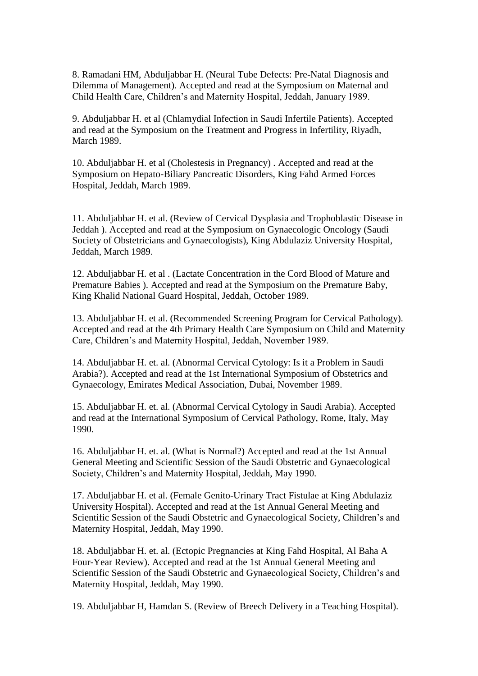8. Ramadani HM, Abduljabbar H. (Neural Tube Defects: Pre-Natal Diagnosis and Dilemma of Management). Accepted and read at the Symposium on Maternal and Child Health Care, Children's and Maternity Hospital, Jeddah, January 1989.

9. Abduljabbar H. et al (Chlamydial Infection in Saudi Infertile Patients). Accepted and read at the Symposium on the Treatment and Progress in Infertility, Riyadh, March 1989.

10. Abduljabbar H. et al (Cholestesis in Pregnancy) . Accepted and read at the Symposium on Hepato-Biliary Pancreatic Disorders, King Fahd Armed Forces Hospital, Jeddah, March 1989.

11. Abduljabbar H. et al. (Review of Cervical Dysplasia and Trophoblastic Disease in Jeddah ). Accepted and read at the Symposium on Gynaecologic Oncology (Saudi Society of Obstetricians and Gynaecologists), King Abdulaziz University Hospital, Jeddah, March 1989.

12. Abduljabbar H. et al . (Lactate Concentration in the Cord Blood of Mature and Premature Babies ). Accepted and read at the Symposium on the Premature Baby, King Khalid National Guard Hospital, Jeddah, October 1989.

13. Abduljabbar H. et al. (Recommended Screening Program for Cervical Pathology). Accepted and read at the 4th Primary Health Care Symposium on Child and Maternity Care, Children's and Maternity Hospital, Jeddah, November 1989.

14. Abduljabbar H. et. al. (Abnormal Cervical Cytology: Is it a Problem in Saudi Arabia?). Accepted and read at the 1st International Symposium of Obstetrics and Gynaecology, Emirates Medical Association, Dubai, November 1989.

15. Abduljabbar H. et. al. (Abnormal Cervical Cytology in Saudi Arabia). Accepted and read at the International Symposium of Cervical Pathology, Rome, Italy, May 1990.

16. Abduljabbar H. et. al. (What is Normal?) Accepted and read at the 1st Annual General Meeting and Scientific Session of the Saudi Obstetric and Gynaecological Society, Children's and Maternity Hospital, Jeddah, May 1990.

17. Abduljabbar H. et al. (Female Genito-Urinary Tract Fistulae at King Abdulaziz University Hospital). Accepted and read at the 1st Annual General Meeting and Scientific Session of the Saudi Obstetric and Gynaecological Society, Children's and Maternity Hospital, Jeddah, May 1990.

18. Abduljabbar H. et. al. (Ectopic Pregnancies at King Fahd Hospital, Al Baha A Four-Year Review). Accepted and read at the 1st Annual General Meeting and Scientific Session of the Saudi Obstetric and Gynaecological Society, Children's and Maternity Hospital, Jeddah, May 1990.

19. Abduljabbar H, Hamdan S. (Review of Breech Delivery in a Teaching Hospital).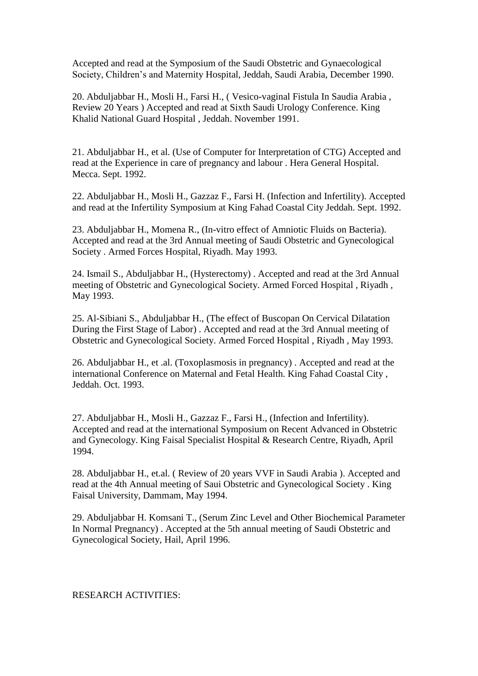Accepted and read at the Symposium of the Saudi Obstetric and Gynaecological Society, Children's and Maternity Hospital, Jeddah, Saudi Arabia, December 1990.

20. Abduljabbar H., Mosli H., Farsi H., ( Vesico-vaginal Fistula In Saudia Arabia , Review 20 Years ) Accepted and read at Sixth Saudi Urology Conference. King Khalid National Guard Hospital , Jeddah. November 1991.

21. Abduljabbar H., et al. (Use of Computer for Interpretation of CTG) Accepted and read at the Experience in care of pregnancy and labour . Hera General Hospital. Mecca. Sept. 1992.

22. Abduljabbar H., Mosli H., Gazzaz F., Farsi H. (Infection and Infertility). Accepted and read at the Infertility Symposium at King Fahad Coastal City Jeddah. Sept. 1992.

23. Abduljabbar H., Momena R., (In-vitro effect of Amniotic Fluids on Bacteria). Accepted and read at the 3rd Annual meeting of Saudi Obstetric and Gynecological Society . Armed Forces Hospital, Riyadh. May 1993.

24. Ismail S., Abduljabbar H., (Hysterectomy) . Accepted and read at the 3rd Annual meeting of Obstetric and Gynecological Society. Armed Forced Hospital , Riyadh , May 1993.

25. Al-Sibiani S., Abduljabbar H., (The effect of Buscopan On Cervical Dilatation During the First Stage of Labor) . Accepted and read at the 3rd Annual meeting of Obstetric and Gynecological Society. Armed Forced Hospital , Riyadh , May 1993.

26. Abduljabbar H., et .al. (Toxoplasmosis in pregnancy) . Accepted and read at the international Conference on Maternal and Fetal Health. King Fahad Coastal City , Jeddah. Oct. 1993.

27. Abduljabbar H., Mosli H., Gazzaz F., Farsi H., (Infection and Infertility). Accepted and read at the international Symposium on Recent Advanced in Obstetric and Gynecology. King Faisal Specialist Hospital & Research Centre, Riyadh, April 1994.

28. Abduljabbar H., et.al. ( Review of 20 years VVF in Saudi Arabia ). Accepted and read at the 4th Annual meeting of Saui Obstetric and Gynecological Society . King Faisal University, Dammam, May 1994.

29. Abduljabbar H. Komsani T., (Serum Zinc Level and Other Biochemical Parameter In Normal Pregnancy) . Accepted at the 5th annual meeting of Saudi Obstetric and Gynecological Society, Hail, April 1996.

RESEARCH ACTIVITIES: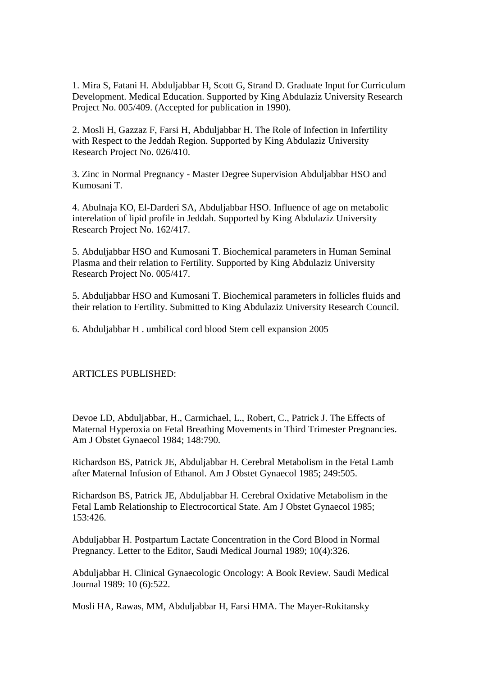1. Mira S, Fatani H. Abduljabbar H, Scott G, Strand D. Graduate Input for Curriculum Development. Medical Education. Supported by King Abdulaziz University Research Project No. 005/409. (Accepted for publication in 1990).

2. Mosli H, Gazzaz F, Farsi H, Abduljabbar H. The Role of Infection in Infertility with Respect to the Jeddah Region. Supported by King Abdulaziz University Research Project No. 026/410.

3. Zinc in Normal Pregnancy - Master Degree Supervision Abduljabbar HSO and Kumosani T.

4. Abulnaja KO, El-Darderi SA, Abduljabbar HSO. Influence of age on metabolic interelation of lipid profile in Jeddah. Supported by King Abdulaziz University Research Project No. 162/417.

5. Abduljabbar HSO and Kumosani T. Biochemical parameters in Human Seminal Plasma and their relation to Fertility. Supported by King Abdulaziz University Research Project No. 005/417.

5. Abduljabbar HSO and Kumosani T. Biochemical parameters in follicles fluids and their relation to Fertility. Submitted to King Abdulaziz University Research Council.

6. Abduljabbar H . umbilical cord blood Stem cell expansion 2005

#### ARTICLES PUBLISHED:

Devoe LD, Abduljabbar, H., Carmichael, L., Robert, C., Patrick J. The Effects of Maternal Hyperoxia on Fetal Breathing Movements in Third Trimester Pregnancies. Am J Obstet Gynaecol 1984; 148:790.

Richardson BS, Patrick JE, Abduljabbar H. Cerebral Metabolism in the Fetal Lamb after Maternal Infusion of Ethanol. Am J Obstet Gynaecol 1985; 249:505.

Richardson BS, Patrick JE, Abduljabbar H. Cerebral Oxidative Metabolism in the Fetal Lamb Relationship to Electrocortical State. Am J Obstet Gynaecol 1985; 153:426.

Abduljabbar H. Postpartum Lactate Concentration in the Cord Blood in Normal Pregnancy. Letter to the Editor, Saudi Medical Journal 1989; 10(4):326.

Abduljabbar H. Clinical Gynaecologic Oncology: A Book Review. Saudi Medical Journal 1989: 10 (6):522.

Mosli HA, Rawas, MM, Abduljabbar H, Farsi HMA. The Mayer-Rokitansky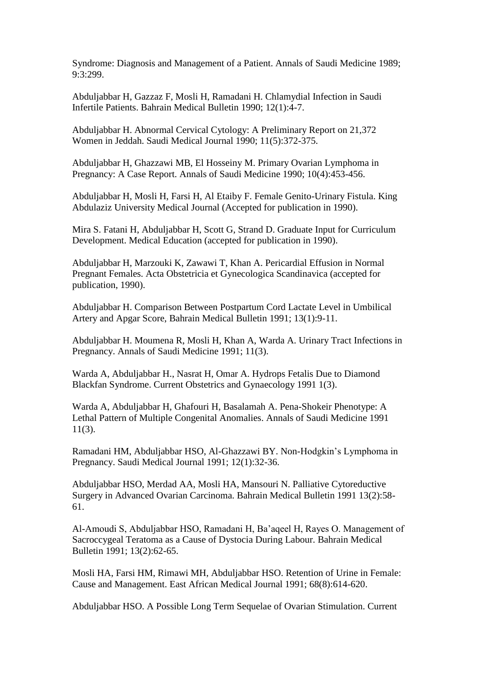Syndrome: Diagnosis and Management of a Patient. Annals of Saudi Medicine 1989; 9:3:299.

Abduljabbar H, Gazzaz F, Mosli H, Ramadani H. Chlamydial Infection in Saudi Infertile Patients. Bahrain Medical Bulletin 1990; 12(1):4-7.

Abduljabbar H. Abnormal Cervical Cytology: A Preliminary Report on 21,372 Women in Jeddah. Saudi Medical Journal 1990; 11(5):372-375.

Abduljabbar H, Ghazzawi MB, El Hosseiny M. Primary Ovarian Lymphoma in Pregnancy: A Case Report. Annals of Saudi Medicine 1990; 10(4):453-456.

Abduljabbar H, Mosli H, Farsi H, Al Etaiby F. Female Genito-Urinary Fistula. King Abdulaziz University Medical Journal (Accepted for publication in 1990).

Mira S. Fatani H, Abduljabbar H, Scott G, Strand D. Graduate Input for Curriculum Development. Medical Education (accepted for publication in 1990).

Abduljabbar H, Marzouki K, Zawawi T, Khan A. Pericardial Effusion in Normal Pregnant Females. Acta Obstetricia et Gynecologica Scandinavica (accepted for publication, 1990).

Abduljabbar H. Comparison Between Postpartum Cord Lactate Level in Umbilical Artery and Apgar Score, Bahrain Medical Bulletin 1991; 13(1):9-11.

Abduljabbar H. Moumena R, Mosli H, Khan A, Warda A. Urinary Tract Infections in Pregnancy. Annals of Saudi Medicine 1991; 11(3).

Warda A, Abduljabbar H., Nasrat H, Omar A. Hydrops Fetalis Due to Diamond Blackfan Syndrome. Current Obstetrics and Gynaecology 1991 1(3).

Warda A, Abduljabbar H, Ghafouri H, Basalamah A. Pena-Shokeir Phenotype: A Lethal Pattern of Multiple Congenital Anomalies. Annals of Saudi Medicine 1991 11(3).

Ramadani HM, Abduljabbar HSO, Al-Ghazzawi BY. Non-Hodgkin's Lymphoma in Pregnancy. Saudi Medical Journal 1991; 12(1):32-36.

Abduljabbar HSO, Merdad AA, Mosli HA, Mansouri N. Palliative Cytoreductive Surgery in Advanced Ovarian Carcinoma. Bahrain Medical Bulletin 1991 13(2):58- 61.

Al-Amoudi S, Abduljabbar HSO, Ramadani H, Ba'aqeel H, Rayes O. Management of Sacroccygeal Teratoma as a Cause of Dystocia During Labour. Bahrain Medical Bulletin 1991; 13(2):62-65.

Mosli HA, Farsi HM, Rimawi MH, Abduljabbar HSO. Retention of Urine in Female: Cause and Management. East African Medical Journal 1991; 68(8):614-620.

Abduljabbar HSO. A Possible Long Term Sequelae of Ovarian Stimulation. Current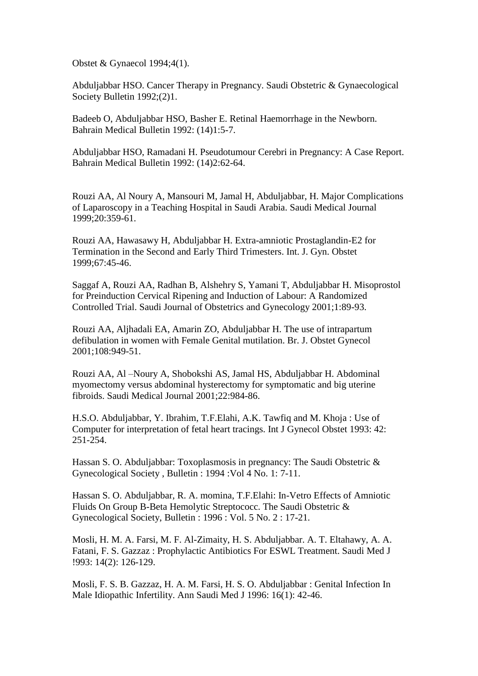Obstet & Gynaecol 1994;4(1).

Abduljabbar HSO. Cancer Therapy in Pregnancy. Saudi Obstetric & Gynaecological Society Bulletin 1992;(2)1.

Badeeb O, Abduljabbar HSO, Basher E. Retinal Haemorrhage in the Newborn. Bahrain Medical Bulletin 1992: (14)1:5-7.

Abduljabbar HSO, Ramadani H. Pseudotumour Cerebri in Pregnancy: A Case Report. Bahrain Medical Bulletin 1992: (14)2:62-64.

Rouzi AA, Al Noury A, Mansouri M, Jamal H, Abduljabbar, H. Major Complications of Laparoscopy in a Teaching Hospital in Saudi Arabia. Saudi Medical Journal 1999;20:359-61.

Rouzi AA, Hawasawy H, Abduljabbar H. Extra-amniotic Prostaglandin-E2 for Termination in the Second and Early Third Trimesters. Int. J. Gyn. Obstet 1999;67:45-46.

Saggaf A, Rouzi AA, Radhan B, Alshehry S, Yamani T, Abduljabbar H. Misoprostol for Preinduction Cervical Ripening and Induction of Labour: A Randomized Controlled Trial. Saudi Journal of Obstetrics and Gynecology 2001;1:89-93.

Rouzi AA, Aljhadali EA, Amarin ZO, Abduljabbar H. The use of intrapartum defibulation in women with Female Genital mutilation. Br. J. Obstet Gynecol 2001;108:949-51.

Rouzi AA, Al –Noury A, Shobokshi AS, Jamal HS, Abduljabbar H. Abdominal myomectomy versus abdominal hysterectomy for symptomatic and big uterine fibroids. Saudi Medical Journal 2001;22:984-86.

H.S.O. Abduljabbar, Y. Ibrahim, T.F.Elahi, A.K. Tawfiq and M. Khoja : Use of Computer for interpretation of fetal heart tracings. Int J Gynecol Obstet 1993: 42: 251-254.

Hassan S. O. Abduljabbar: Toxoplasmosis in pregnancy: The Saudi Obstetric & Gynecological Society , Bulletin : 1994 :Vol 4 No. 1: 7-11.

Hassan S. O. Abduljabbar, R. A. momina, T.F.Elahi: In-Vetro Effects of Amniotic Fluids On Group B-Beta Hemolytic Streptococc. The Saudi Obstetric & Gynecological Society, Bulletin : 1996 : Vol. 5 No. 2 : 17-21.

Mosli, H. M. A. Farsi, M. F. Al-Zimaity, H. S. Abduljabbar. A. T. Eltahawy, A. A. Fatani, F. S. Gazzaz : Prophylactic Antibiotics For ESWL Treatment. Saudi Med J !993: 14(2): 126-129.

Mosli, F. S. B. Gazzaz, H. A. M. Farsi, H. S. O. Abduljabbar : Genital Infection In Male Idiopathic Infertility. Ann Saudi Med J 1996: 16(1): 42-46.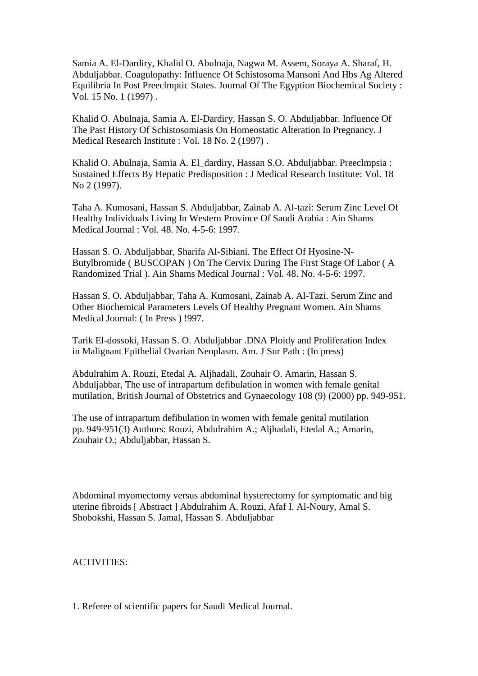Samia A. El-Dardiry, Khalid O. Abulnaja, Nagwa M. Assem, Soraya A. Sharaf, H. Abduljabbar. Coagulopathy: Influence Of Schistosoma Mansoni And Hbs Ag Altered Equilibria In Post Preeclmptic States. Journal Of The Egyption Biochemical Society : Vol. 15 No. 1 (1997) .

Khalid O. Abulnaja, Samia A. El-Dardiry, Hassan S. O. Abduljabbar. Influence Of The Past History Of Schistosomiasis On Homeostatic Alteration In Pregnancy. J Medical Research Institute : Vol. 18 No. 2 (1997) .

Khalid O. Abulnaja, Samia A. El\_dardiry, Hassan S.O. Abduljabbar. Preeclmpsia : Sustained Effects By Hepatic Predisposition : J Medical Research Institute: Vol. 18 No 2 (1997).

Taha A. Kumosani, Hassan S. Abduljabbar, Zainab A. Al-tazi: Serum Zinc Level Of Healthy Individuals Living In Western Province Of Saudi Arabia : Ain Shams Medical Journal : Vol. 48. No. 4-5-6: 1997.

Hassan S. O. Abduljabbar, Sharifa Al-Sibiani. The Effect Of Hyosine-N-Butylbromide ( BUSCOPAN ) On The Cervix During The First Stage Of Labor ( A Randomized Trial ). Ain Shams Medical Journal : Vol. 48. No. 4-5-6: 1997.

Hassan S. O. Abduljabbar, Taha A. Kumosani, Zainab A. Al-Tazi. Serum Zinc and Other Biochemical Parameters Levels Of Healthy Pregnant Women. Ain Shams Medical Journal: ( In Press ) !997.

Tarik El-dossoki, Hassan S. O. Abduljabbar .DNA Ploidy and Proliferation Index in Malignant Epithelial Ovarian Neoplasm. Am. J Sur Path : (In press)

Abdulrahim A. Rouzi, Etedal A. Aljhadali, Zouhair O. Amarin, Hassan S. Abduljabbar, The use of intrapartum defibulation in women with female genital mutilation, British Journal of Obstetrics and Gynaecology 108 (9) (2000) pp. 949-951.

The use of intrapartum defibulation in women with female genital mutilation pp. 949-951(3) Authors: Rouzi, Abdulrahim A.; Aljhadali, Etedal A.; Amarin, Zouhair O.; Abduljabbar, Hassan S.

Abdominal myomectomy versus abdominal hysterectomy for symptomatic and big uterine fibroids [ Abstract ] Abdulrahim A. Rouzi, Afaf I. Al-Noury, Amal S. Shobokshi, Hassan S. Jamal, Hassan S. Abduljabbar

ACTIVITIES:

1. Referee of scientific papers for Saudi Medical Journal.